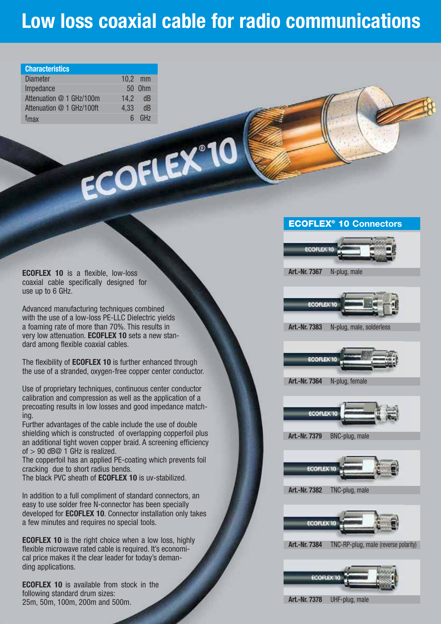# **Low loss coaxial cable for radio communications**

| <b>Characteristics</b>    |           |           |
|---------------------------|-----------|-----------|
| <b>Diameter</b>           | $10.2$ mm |           |
| Impedance                 |           | 50 0hm    |
| Attenuation @ 1 GHz/100m  | 14.2      | - dB      |
| Attenuation @ 1 GHz/100ft | 4,33      | dB        |
| f <sub>max</sub>          |           | $6$ $GHz$ |

ECOFLEX°10

**ECOFLEX 10** is a flexible, low-loss coaxial cable specifically designed for use up to 6 GHz.

Advanced manufacturing techniques combined with the use of a low-loss PE-LLC Dielectric yields a foaming rate of more than 70%. This results in very low attenuation. **ECOFLEX 10** sets a new standard among flexible coaxial cables.

The flexibility of **ECOFLEX 10** is further enhanced through the use of a stranded, oxygen-free copper center conductor.

Use of proprietary techniques, continuous center conductor calibration and compression as well as the application of a precoating results in low losses and good impedance matching.

Further advantages of the cable include the use of double shielding which is constructed of overlapping copperfoil plus an additional tight woven copper braid. A screening efficiency of  $> 90$  dB@ 1 GHz is realized.

The copperfoil has an applied PE-coating which prevents foil cracking due to short radius bends.

The black PVC sheath of **ECOFLEX 10** is uv-stabilized.

In addition to a full compliment of standard connectors, an easy to use solder free N-connector has been specially developed for **ECOFLEX 10**. Connector installation only takes a few minutes and requires no special tools.

**ECOFLEX 10** is the right choice when a low loss, highly flexible microwave rated cable is required. It's economical price makes it the clear leader for today's demanding applications.

**ECOFLEX 10** is available from stock in the following standard drum sizes: 25m, 50m, 100m, 200m and 500m.

# **ECOFLEX® 10 Connectors**



**Art.-Nr. 7367** N-plug, male



**Art.-Nr. 7383** N-plug, male, solderless



**Art.-Nr. 7364** N-plug, female



**Art.-Nr. 7379** BNC-plug, male



**Art.-Nr. 7382** TNC-plug, male



**Art.-Nr. 7384** TNC-RP-plug, male (reverse polarity)



**Art.-Nr. 7378** UHF-plug, male